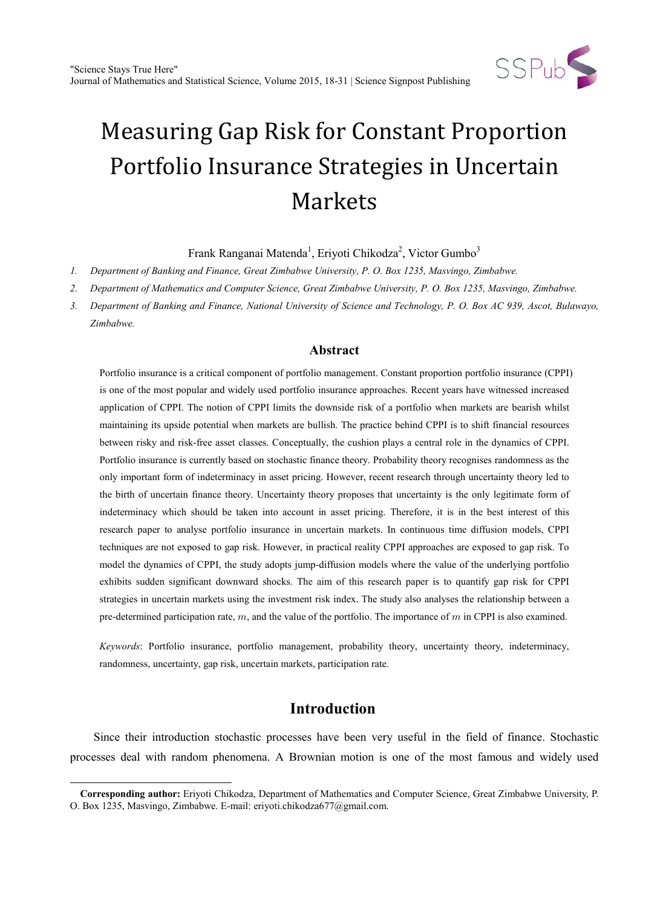

Frank Ranganai Matenda<sup>1</sup>, Eriyoti Chikodza<sup>2</sup>, Victor Gumbo<sup>3</sup>

*1. Department of Banking and Finance, Great Zimbabwe University, P. O. Box 1235, Masvingo, Zimbabwe.*

*2. Department of Mathematics and Computer Science, Great Zimbabwe University, P. O. Box 1235, Masvingo, Zimbabwe.*

*3. Department of Banking and Finance, National University of Science and Technology, P. O. Box AC 939, Ascot, Bulawayo, Zimbabwe.*

## **Abstract**

Portfolio insurance is a critical component of portfolio management. Constant proportion portfolio insurance (CPPI) is one of the most popular and widely used portfolio insurance approaches. Recent years have witnessed increased application of CPPI. The notion of CPPI limits the downside risk of a portfolio when markets are bearish whilst maintaining its upside potential when markets are bullish. The practice behind CPPI is to shift financial resources between risky and risk-free asset classes. Conceptually, the cushion plays a central role in the dynamics of CPPI. Portfolio insurance is currently based on stochastic finance theory. Probability theory recognises randomness as the only important form of indeterminacy in asset pricing. However, recent research through uncertainty theory led to the birth of uncertain finance theory. Uncertainty theory proposes that uncertainty is the only legitimate form of indeterminacy which should be taken into account in asset pricing. Therefore, it is in the best interest of this research paper to analyse portfolio insurance in uncertain markets. In continuous time diffusion models, CPPI techniques are not exposed to gap risk. However, in practical reality CPPI approaches are exposed to gap risk. To model the dynamics of CPPI, the study adopts jump-diffusion models where the value of the underlying portfolio exhibits sudden significant downward shocks. The aim of this research paper is to quantify gap risk for CPPI strategies in uncertain markets using the investment risk index. The study also analyses the relationship between a pre-determined participation rate,  $m$ , and the value of the portfolio. The importance of  $m$  in CPPI is also examined.

*Keywords*: Portfolio insurance, portfolio management, probability theory, uncertainty theory, indeterminacy, randomness, uncertainty, gap risk, uncertain markets, participation rate.

# **Introduction**

Since their introduction stochastic processes have been very useful in the field of finance. Stochastic processes deal with random phenomena. A Brownian motion is one of the most famous and widely used

 $\ddot{ }$ 

<span id="page-0-0"></span>**Corresponding author:** Eriyoti Chikodza, Department of Mathematics and Computer Science, Great Zimbabwe University, P. O. Box 1235, Masvingo, Zimbabwe. E-mail: eriyoti.chikodza677@gmail.com.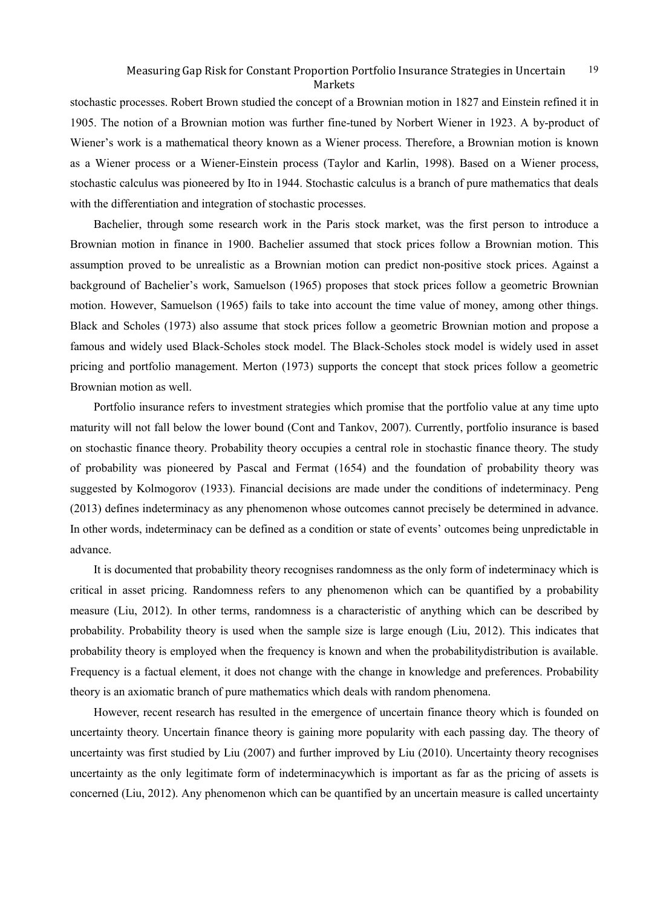stochastic processes. Robert Brown studied the concept of a Brownian motion in 1827 and Einstein refined it in 1905. The notion of a Brownian motion was further fine-tuned by Norbert Wiener in 1923. A by-product of Wiener's work is a mathematical theory known as a Wiener process. Therefore, a Brownian motion is known as a Wiener process or a Wiener-Einstein process (Taylor and Karlin, 1998). Based on a Wiener process, stochastic calculus was pioneered by Ito in 1944. Stochastic calculus is a branch of pure mathematics that deals with the differentiation and integration of stochastic processes.

Bachelier, through some research work in the Paris stock market, was the first person to introduce a Brownian motion in finance in 1900. Bachelier assumed that stock prices follow a Brownian motion. This assumption proved to be unrealistic as a Brownian motion can predict non-positive stock prices. Against a background of Bachelier's work, Samuelson (1965) proposes that stock prices follow a geometric Brownian motion. However, Samuelson (1965) fails to take into account the time value of money, among other things. Black and Scholes (1973) also assume that stock prices follow a geometric Brownian motion and propose a famous and widely used Black-Scholes stock model. The Black-Scholes stock model is widely used in asset pricing and portfolio management. Merton (1973) supports the concept that stock prices follow a geometric Brownian motion as well.

Portfolio insurance refers to investment strategies which promise that the portfolio value at any time upto maturity will not fall below the lower bound (Cont and Tankov, 2007). Currently, portfolio insurance is based on stochastic finance theory. Probability theory occupies a central role in stochastic finance theory. The study of probability was pioneered by Pascal and Fermat (1654) and the foundation of probability theory was suggested by Kolmogorov (1933). Financial decisions are made under the conditions of indeterminacy. Peng (2013) defines indeterminacy as any phenomenon whose outcomes cannot precisely be determined in advance. In other words, indeterminacy can be defined as a condition or state of events' outcomes being unpredictable in advance.

It is documented that probability theory recognises randomness as the only form of indeterminacy which is critical in asset pricing. Randomness refers to any phenomenon which can be quantified by a probability measure (Liu, 2012). In other terms, randomness is a characteristic of anything which can be described by probability. Probability theory is used when the sample size is large enough (Liu, 2012). This indicates that probability theory is employed when the frequency is known and when the probabilitydistribution is available. Frequency is a factual element, it does not change with the change in knowledge and preferences. Probability theory is an axiomatic branch of pure mathematics which deals with random phenomena.

However, recent research has resulted in the emergence of uncertain finance theory which is founded on uncertainty theory. Uncertain finance theory is gaining more popularity with each passing day. The theory of uncertainty was first studied by Liu (2007) and further improved by Liu (2010). Uncertainty theory recognises uncertainty as the only legitimate form of indeterminacywhich is important as far as the pricing of assets is concerned (Liu, 2012). Any phenomenon which can be quantified by an uncertain measure is called uncertainty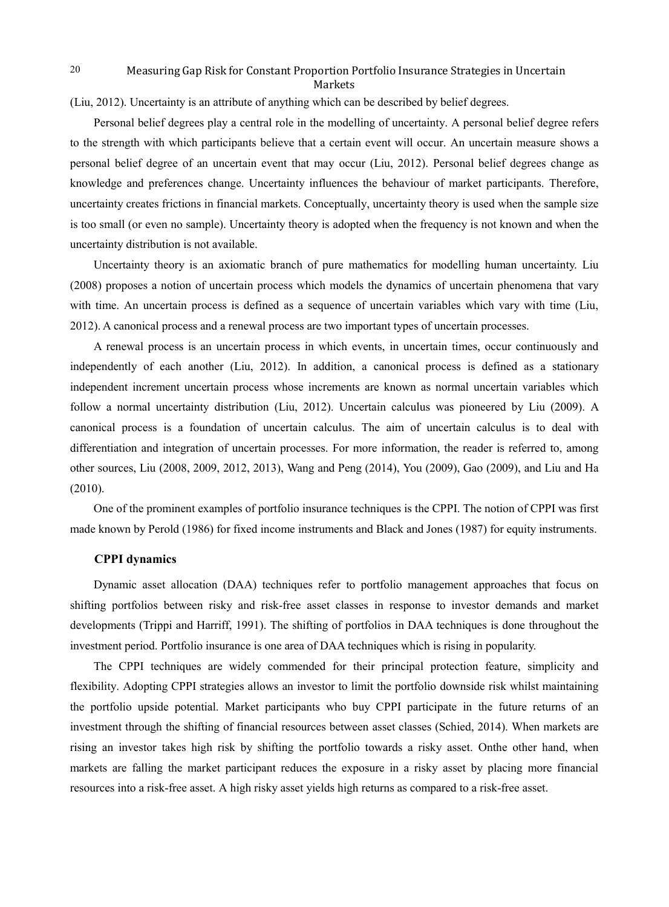(Liu, 2012). Uncertainty is an attribute of anything which can be described by belief degrees.

Personal belief degrees play a central role in the modelling of uncertainty. A personal belief degree refers to the strength with which participants believe that a certain event will occur. An uncertain measure shows a personal belief degree of an uncertain event that may occur (Liu, 2012). Personal belief degrees change as knowledge and preferences change. Uncertainty influences the behaviour of market participants. Therefore, uncertainty creates frictions in financial markets. Conceptually, uncertainty theory is used when the sample size is too small (or even no sample). Uncertainty theory is adopted when the frequency is not known and when the uncertainty distribution is not available.

Uncertainty theory is an axiomatic branch of pure mathematics for modelling human uncertainty. Liu (2008) proposes a notion of uncertain process which models the dynamics of uncertain phenomena that vary with time. An uncertain process is defined as a sequence of uncertain variables which vary with time (Liu, 2012). A canonical process and a renewal process are two important types of uncertain processes.

A renewal process is an uncertain process in which events, in uncertain times, occur continuously and independently of each another (Liu, 2012). In addition, a canonical process is defined as a stationary independent increment uncertain process whose increments are known as normal uncertain variables which follow a normal uncertainty distribution (Liu, 2012). Uncertain calculus was pioneered by Liu (2009). A canonical process is a foundation of uncertain calculus. The aim of uncertain calculus is to deal with differentiation and integration of uncertain processes. For more information, the reader is referred to, among other sources, Liu (2008, 2009, 2012, 2013), Wang and Peng (2014), You (2009), Gao (2009), and Liu and Ha (2010).

One of the prominent examples of portfolio insurance techniques is the CPPI. The notion of CPPI was first made known by Perold (1986) for fixed income instruments and Black and Jones (1987) for equity instruments.

## **CPPI dynamics**

Dynamic asset allocation (DAA) techniques refer to portfolio management approaches that focus on shifting portfolios between risky and risk-free asset classes in response to investor demands and market developments (Trippi and Harriff, 1991). The shifting of portfolios in DAA techniques is done throughout the investment period. Portfolio insurance is one area of DAA techniques which is rising in popularity.

The CPPI techniques are widely commended for their principal protection feature, simplicity and flexibility. Adopting CPPI strategies allows an investor to limit the portfolio downside risk whilst maintaining the portfolio upside potential. Market participants who buy CPPI participate in the future returns of an investment through the shifting of financial resources between asset classes (Schied, 2014). When markets are rising an investor takes high risk by shifting the portfolio towards a risky asset. Onthe other hand, when markets are falling the market participant reduces the exposure in a risky asset by placing more financial resources into a risk-free asset. A high risky asset yields high returns as compared to a risk-free asset.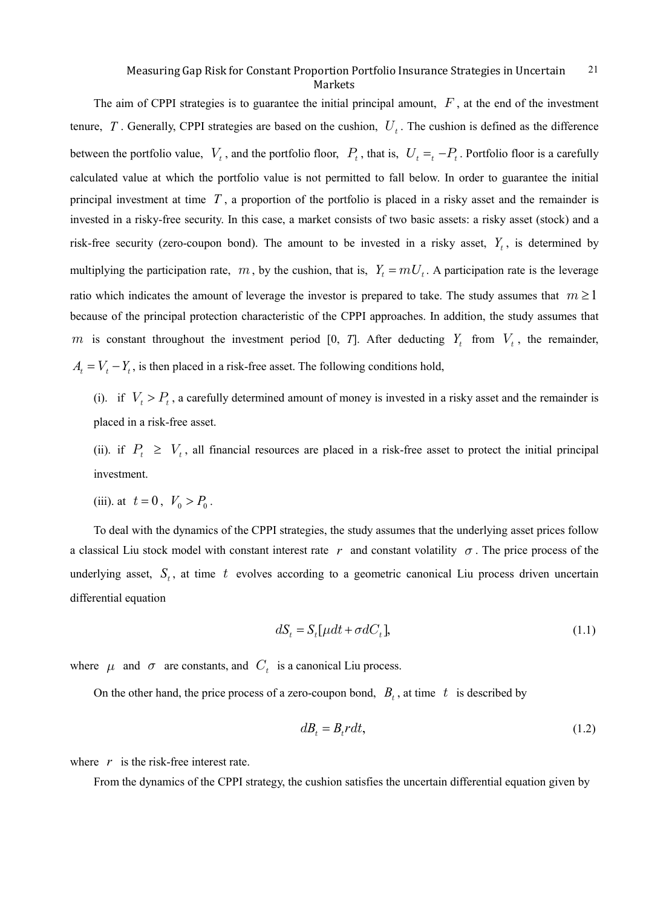The aim of CPPI strategies is to guarantee the initial principal amount,  $F$ , at the end of the investment tenure,  $T$ . Generally, CPPI strategies are based on the cushion,  $U_t$ . The cushion is defined as the difference between the portfolio value,  $V_t$ , and the portfolio floor,  $P_t$ , that is,  $U_t = -P_t$ . Portfolio floor is a carefully calculated value at which the portfolio value is not permitted to fall below. In order to guarantee the initial principal investment at time *T* , a proportion of the portfolio is placed in a risky asset and the remainder is invested in a risky-free security. In this case, a market consists of two basic assets: a risky asset (stock) and a risk-free security (zero-coupon bond). The amount to be invested in a risky asset,  $Y_t$ , is determined by multiplying the participation rate,  $m$ , by the cushion, that is,  $Y_t = mU_t$ . A participation rate is the leverage ratio which indicates the amount of leverage the investor is prepared to take. The study assumes that  $m \ge 1$ because of the principal protection characteristic of the CPPI approaches. In addition, the study assumes that m is constant throughout the investment period [0, *T*]. After deducting  $Y_t$  from  $V_t$ , the remainder,  $A_i = V_i - Y_i$ , is then placed in a risk-free asset. The following conditions hold,

(i). if  $V_t > P_t$ , a carefully determined amount of money is invested in a risky asset and the remainder is placed in a risk-free asset.

(ii). if  $P_t \geq V_t$ , all financial resources are placed in a risk-free asset to protect the initial principal investment.

(iii). at  $t = 0$ ,  $V_0 > P_0$ .

To deal with the dynamics of the CPPI strategies, the study assumes that the underlying asset prices follow a classical Liu stock model with constant interest rate  $r$  and constant volatility  $\sigma$ . The price process of the underlying asset,  $S_t$ , at time t evolves according to a geometric canonical Liu process driven uncertain differential equation

$$
dS_t = S_t[\mu dt + \sigma dC_t],\tag{1.1}
$$

where  $\mu$  and  $\sigma$  are constants, and  $C_t$  is a canonical Liu process.

On the other hand, the price process of a zero-coupon bond,  $B_t$ , at time t is described by

$$
dB_t = B_t r dt, \tag{1.2}
$$

where  $r$  is the risk-free interest rate.

From the dynamics of the CPPI strategy, the cushion satisfies the uncertain differential equation given by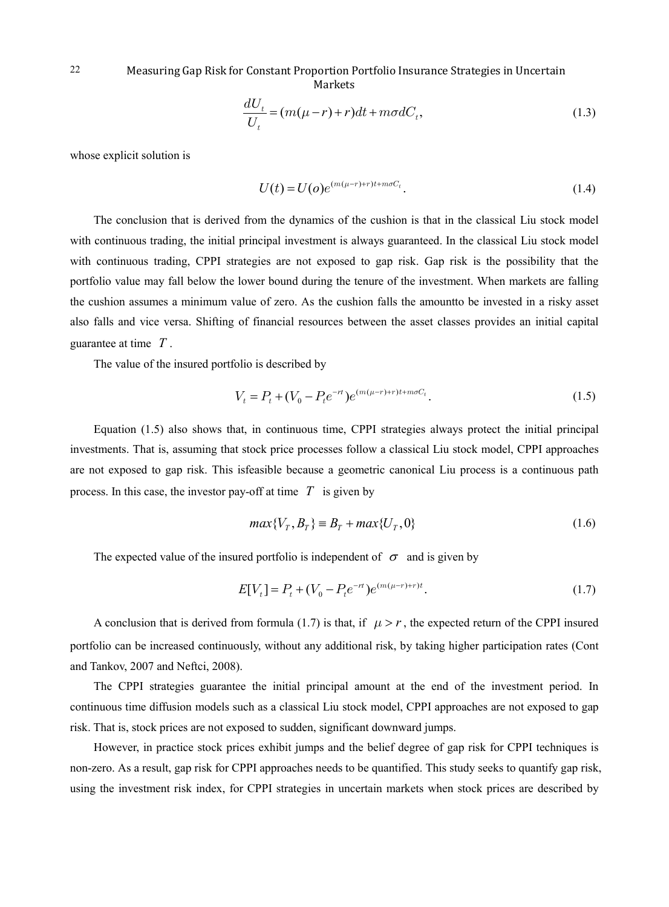$$
\frac{dU_t}{U_t} = (m(\mu - r) + r)dt + m\sigma dC_t,
$$
\n(1.3)

whose explicit solution is

$$
U(t) = U(o)e^{(m(\mu - r) + r)t + m\sigma C_t}.
$$
\n(1.4)

The conclusion that is derived from the dynamics of the cushion is that in the classical Liu stock model with continuous trading, the initial principal investment is always guaranteed. In the classical Liu stock model with continuous trading, CPPI strategies are not exposed to gap risk. Gap risk is the possibility that the portfolio value may fall below the lower bound during the tenure of the investment. When markets are falling the cushion assumes a minimum value of zero. As the cushion falls the amountto be invested in a risky asset also falls and vice versa. Shifting of financial resources between the asset classes provides an initial capital guarantee at time *T* .

The value of the insured portfolio is described by

$$
V_t = P_t + (V_0 - P_t e^{-rt}) e^{(m(\mu - r) + r)t + m\sigma C_t}.
$$
\n(1.5)

Equation (1.5) also shows that, in continuous time, CPPI strategies always protect the initial principal investments. That is, assuming that stock price processes follow a classical Liu stock model, CPPI approaches are not exposed to gap risk. This isfeasible because a geometric canonical Liu process is a continuous path process. In this case, the investor pay-off at time  $T$  is given by

$$
max{VT, BT} \equiv BT + max{UT, 0}
$$
\n(1.6)

The expected value of the insured portfolio is independent of  $\sigma$  and is given by

$$
E[V_t] = P_t + (V_0 - P_t e^{-rt})e^{(m(\mu - r) + r)t}.
$$
\n(1.7)

A conclusion that is derived from formula (1.7) is that, if  $\mu > r$ , the expected return of the CPPI insured portfolio can be increased continuously, without any additional risk, by taking higher participation rates (Cont and Tankov, 2007 and Neftci, 2008).

The CPPI strategies guarantee the initial principal amount at the end of the investment period. In continuous time diffusion models such as a classical Liu stock model, CPPI approaches are not exposed to gap risk. That is, stock prices are not exposed to sudden, significant downward jumps.

However, in practice stock prices exhibit jumps and the belief degree of gap risk for CPPI techniques is non-zero. As a result, gap risk for CPPI approaches needs to be quantified. This study seeks to quantify gap risk, using the investment risk index, for CPPI strategies in uncertain markets when stock prices are described by

22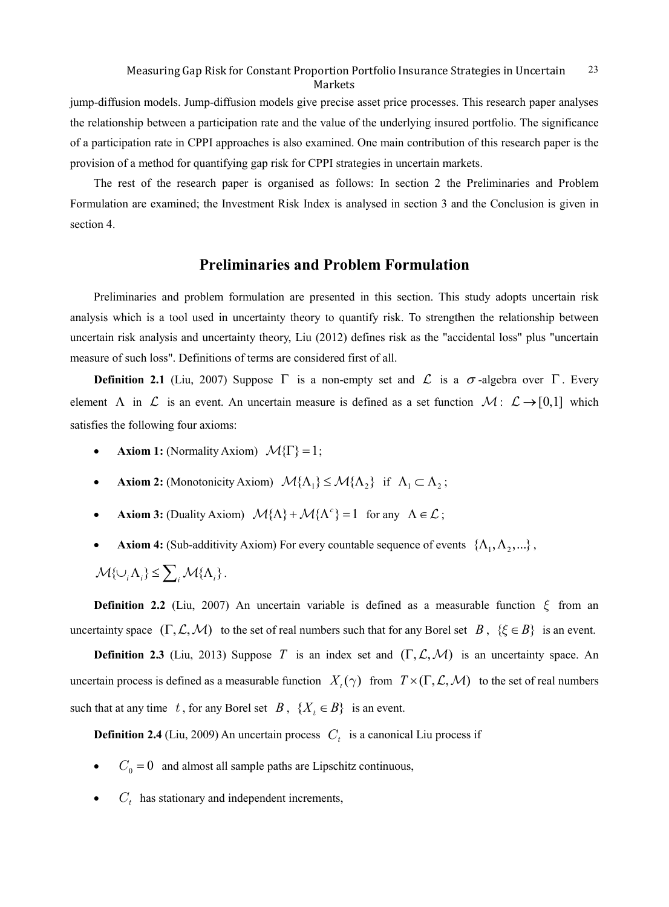jump-diffusion models. Jump-diffusion models give precise asset price processes. This research paper analyses the relationship between a participation rate and the value of the underlying insured portfolio. The significance of a participation rate in CPPI approaches is also examined. One main contribution of this research paper is the provision of a method for quantifying gap risk for CPPI strategies in uncertain markets.

The rest of the research paper is organised as follows: In section 2 the Preliminaries and Problem Formulation are examined; the Investment Risk Index is analysed in section 3 and the Conclusion is given in section 4.

# **Preliminaries and Problem Formulation**

Preliminaries and problem formulation are presented in this section. This study adopts uncertain risk analysis which is a tool used in uncertainty theory to quantify risk. To strengthen the relationship between uncertain risk analysis and uncertainty theory, Liu (2012) defines risk as the "accidental loss" plus "uncertain measure of such loss". Definitions of terms are considered first of all.

**Definition 2.1** (Liu, 2007) Suppose  $\Gamma$  is a non-empty set and  $\mathcal{L}$  is a  $\sigma$ -algebra over  $\Gamma$ . Every element  $\Lambda$  in  $\mathcal L$  is an event. An uncertain measure is defined as a set function  $\mathcal M: \ \mathcal L \to [0,1]$  which satisfies the following four axioms:

- **Axiom 1:** (Normality Axiom)  $\mathcal{M}{\{\Gamma\}} = 1$ ;
- **Axiom 2:** (Monotonicity Axiom)  $\mathcal{M}\{\Lambda_1\} \leq \mathcal{M}\{\Lambda_2\}$  if  $\Lambda_1 \subset \Lambda_2$ ;
- **Axiom 3:** (Duality Axiom)  ${\mathcal{M}} {\{\Lambda\}} + {\mathcal{M}} {\{\Lambda^c\}} = 1$  for any  $\Lambda \in \mathcal{L}$ ;
- **Axiom 4:** (Sub-additivity Axiom) For every countable sequence of events  $\{\Lambda_1, \Lambda_2, ...\}$ ,

$$
\mathcal{M}\{\cup_i \Lambda_i\} \leq \sum_i \mathcal{M}\{\Lambda_i\}.
$$

**Definition 2.2** (Liu, 2007) An uncertain variable is defined as a measurable function  $\xi$  from an uncertainty space  $(\Gamma, \mathcal{L}, \mathcal{M})$  to the set of real numbers such that for any Borel set *B*,  $\{\xi \in B\}$  is an event.

**Definition 2.3** (Liu, 2013) Suppose *T* is an index set and  $(\Gamma, \mathcal{L}, \mathcal{M})$  is an uncertainty space. An uncertain process is defined as a measurable function  $X_t(\gamma)$  from  $T \times (\Gamma, \mathcal{L}, \mathcal{M})$  to the set of real numbers such that at any time t, for any Borel set  $B$ ,  $\{X_t \in B\}$  is an event.

**Definition 2.4** (Liu, 2009) An uncertain process  $C_t$  is a canonical Liu process if

- $C_0 = 0$  and almost all sample paths are Lipschitz continuous,
- $C_t$  has stationary and independent increments,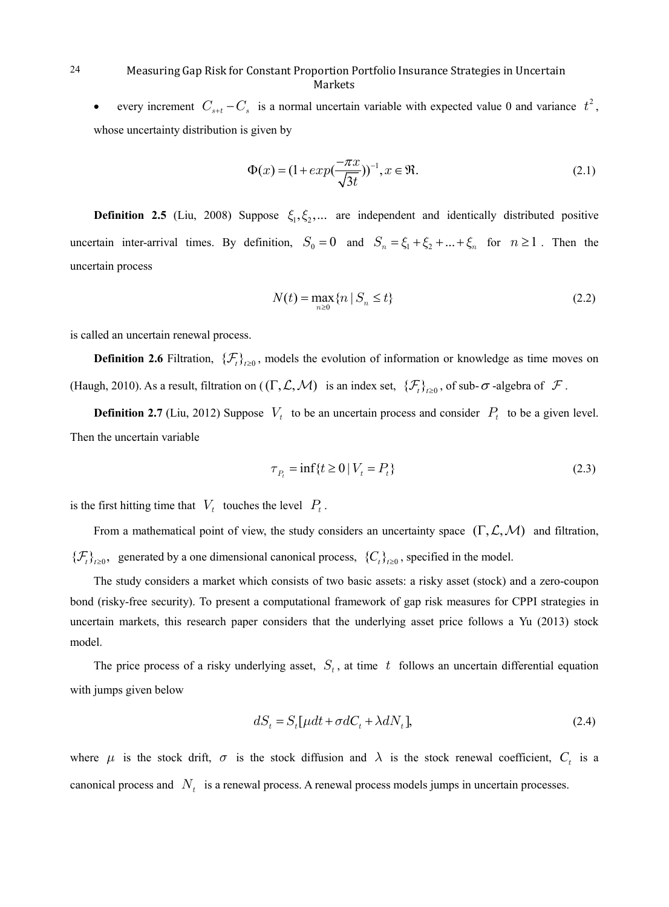• every increment  $C_{s+t} - C_s$  is a normal uncertain variable with expected value 0 and variance  $t^2$ , whose uncertainty distribution is given by

$$
\Phi(x) = (1 + exp(\frac{-\pi x}{\sqrt{3t}}))^{-1}, x \in \mathfrak{R}.
$$
\n(2.1)

**Definition 2.5** (Liu, 2008) Suppose  $\xi_1, \xi_2, ...$  are independent and identically distributed positive uncertain inter-arrival times. By definition,  $S_0 = 0$  and  $S_n = \xi_1 + \xi_2 + ... + \xi_n$  for  $n \ge 1$ . Then the uncertain process

$$
N(t) = \max_{n \ge 0} \{ n \mid S_n \le t \}
$$
 (2.2)

is called an uncertain renewal process.

**Definition 2.6** Filtration,  $\{\mathcal{F}_t\}_{t>0}$ , models the evolution of information or knowledge as time moves on (Haugh, 2010). As a result, filtration on  $((\Gamma, \mathcal{L}, \mathcal{M})$  is an index set,  $\{\mathcal{F}_t\}_{t\geq 0}$ , of sub- $\sigma$ -algebra of  $\mathcal F$ .

**Definition 2.7** (Liu, 2012) Suppose  $V_t$  to be an uncertain process and consider  $P_t$  to be a given level. Then the uncertain variable

$$
\tau_{P_t} = \inf \{ t \ge 0 \mid V_t = P_t \} \tag{2.3}
$$

is the first hitting time that  $V_t$  touches the level  $P_t$ .

From a mathematical point of view, the study considers an uncertainty space  $(\Gamma, \mathcal{L}, \mathcal{M})$  and filtration,  ${ {\{\mathcal{F}_t\}}_{t\geq0}}$ , generated by a one dimensional canonical process,  ${C_t\}}_{t\geq0}$ , specified in the model.

The study considers a market which consists of two basic assets: a risky asset (stock) and a zero-coupon bond (risky-free security). To present a computational framework of gap risk measures for CPPI strategies in uncertain markets, this research paper considers that the underlying asset price follows a Yu (2013) stock model.

The price process of a risky underlying asset,  $S_t$ , at time t follows an uncertain differential equation with jumps given below

$$
dS_t = S_t[\mu dt + \sigma dC_t + \lambda dN_t],\tag{2.4}
$$

where  $\mu$  is the stock drift,  $\sigma$  is the stock diffusion and  $\lambda$  is the stock renewal coefficient,  $C_t$  is a canonical process and  $N_t$  is a renewal process. A renewal process models jumps in uncertain processes.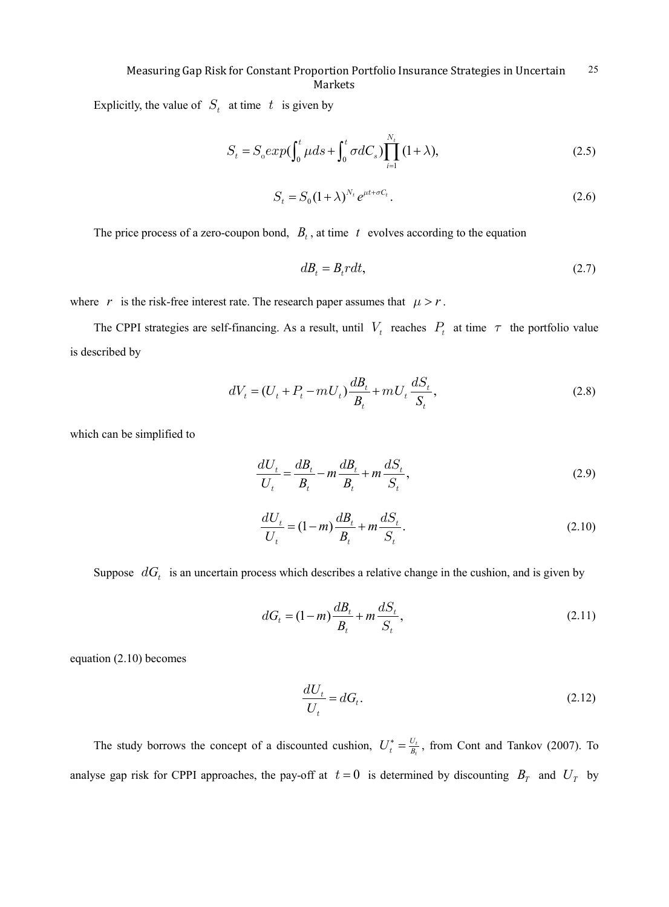Explicitly, the value of  $S_t$  at time t is given by

$$
S_t = S_0 exp(\int_0^t \mu ds + \int_0^t \sigma dC_s) \prod_{i=1}^{N_t} (1 + \lambda), \qquad (2.5)
$$

$$
S_t = S_0 (1 + \lambda)^{N_t} e^{\mu t + \sigma C_t}.
$$
\n(2.6)

The price process of a zero-coupon bond,  $B_t$ , at time t evolves according to the equation

$$
dB_t = B_t r dt, \tag{2.7}
$$

where *r* is the risk-free interest rate. The research paper assumes that  $\mu > r$ .

The CPPI strategies are self-financing. As a result, until  $V_t$  reaches  $P_t$  at time  $\tau$  the portfolio value is described by

$$
dV_t = (U_t + P_t - mU_t) \frac{dB_t}{B_t} + mU_t \frac{dS_t}{S_t},
$$
\n(2.8)

which can be simplified to

$$
\frac{dU_t}{U_t} = \frac{dB_t}{B_t} - m\frac{dB_t}{B_t} + m\frac{dS_t}{S_t},
$$
\n(2.9)

$$
\frac{dU_t}{U_t} = (1 - m)\frac{dB_t}{B_t} + m\frac{dS_t}{S_t}.
$$
\n(2.10)

Suppose  $dG_t$  is an uncertain process which describes a relative change in the cushion, and is given by

$$
dG_t = (1 - m)\frac{dB_t}{B_t} + m\frac{dS_t}{S_t},
$$
\n(2.11)

equation (2.10) becomes

$$
\frac{dU_t}{U_t} = dG_t.
$$
\n(2.12)

The study borrows the concept of a discounted cushion,  $U_t^* = \frac{U_t}{B_t}$ , from Cont and Tankov (2007). To analyse gap risk for CPPI approaches, the pay-off at  $t = 0$  is determined by discounting  $B<sub>T</sub>$  and  $U<sub>T</sub>$  by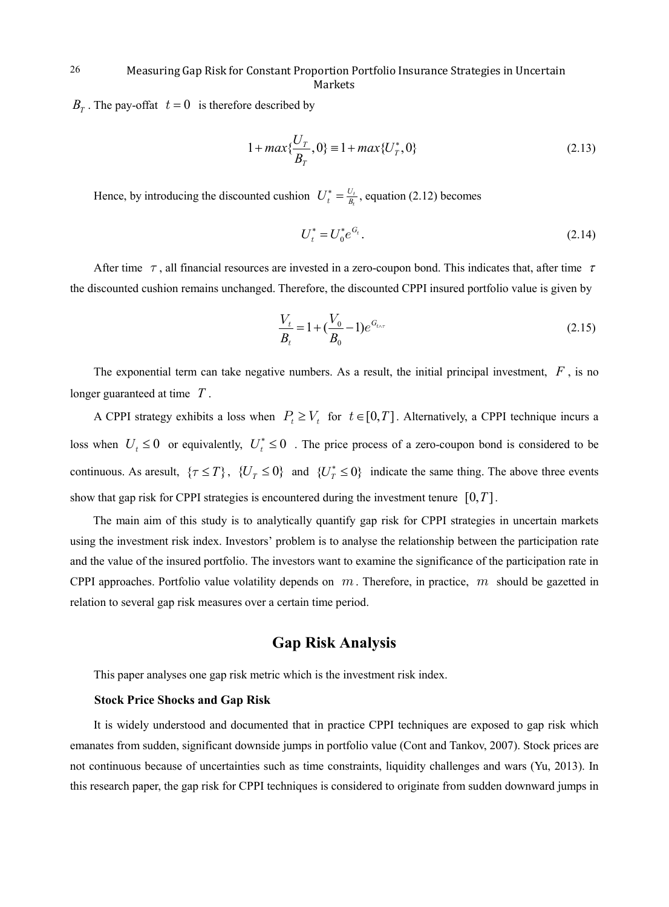$B_T$ . The pay-offat  $t = 0$  is therefore described by

$$
1 + \max\{\frac{U_T}{B_T}, 0\} = 1 + \max\{U_T^*, 0\}
$$
\n(2.13)

Hence, by introducing the discounted cushion  $U_t^* = \frac{U_t}{B_t}$ , equation (2.12) becomes

$$
U_t^* = U_0^* e^{G_t}.
$$
\n(2.14)

After time  $\tau$ , all financial resources are invested in a zero-coupon bond. This indicates that, after time  $\tau$ the discounted cushion remains unchanged. Therefore, the discounted CPPI insured portfolio value is given by

$$
\frac{V_t}{B_t} = 1 + (\frac{V_0}{B_0} - 1)e^{G_{t \wedge \tau}}
$$
\n(2.15)

The exponential term can take negative numbers. As a result, the initial principal investment, *F* , is no longer guaranteed at time *T* .

A CPPI strategy exhibits a loss when  $P_t \ge V_t$  for  $t \in [0, T]$ . Alternatively, a CPPI technique incurs a loss when  $U_t \le 0$  or equivalently,  $U_t^* \le 0$ . The price process of a zero-coupon bond is considered to be continuous. As aresult,  $\{\tau \leq T\}$ ,  $\{U_T \leq 0\}$  and  $\{U_T^* \leq 0\}$  indicate the same thing. The above three events show that gap risk for CPPI strategies is encountered during the investment tenure  $[0, T]$ .

The main aim of this study is to analytically quantify gap risk for CPPI strategies in uncertain markets using the investment risk index. Investors' problem is to analyse the relationship between the participation rate and the value of the insured portfolio. The investors want to examine the significance of the participation rate in CPPI approaches. Portfolio value volatility depends on  $m$ . Therefore, in practice,  $m$  should be gazetted in relation to several gap risk measures over a certain time period.

# **Gap Risk Analysis**

This paper analyses one gap risk metric which is the investment risk index.

#### **Stock Price Shocks and Gap Risk**

It is widely understood and documented that in practice CPPI techniques are exposed to gap risk which emanates from sudden, significant downside jumps in portfolio value (Cont and Tankov, 2007). Stock prices are not continuous because of uncertainties such as time constraints, liquidity challenges and wars (Yu, 2013). In this research paper, the gap risk for CPPI techniques is considered to originate from sudden downward jumps in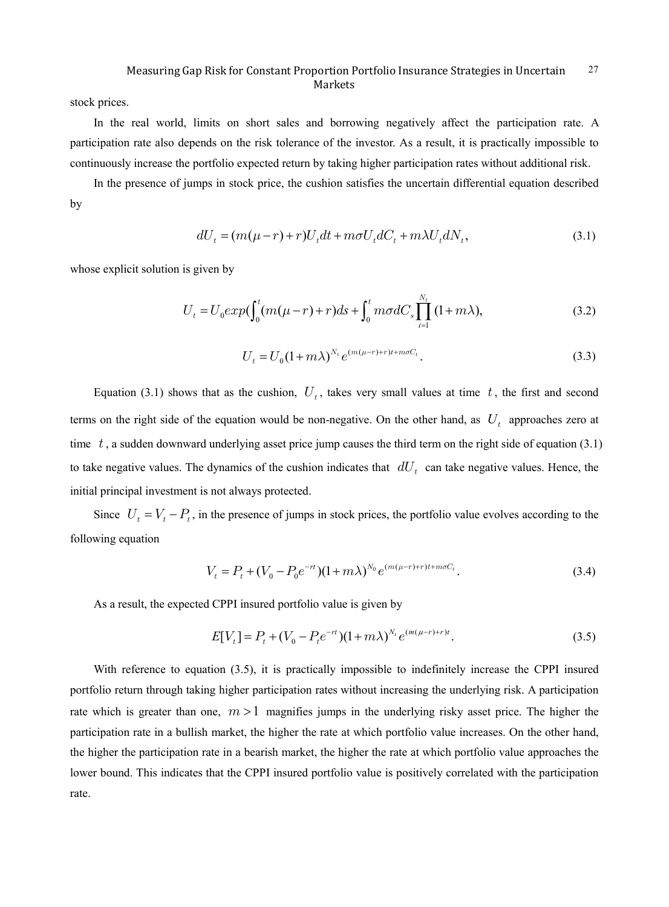stock prices.

In the real world, limits on short sales and borrowing negatively affect the participation rate. A participation rate also depends on the risk tolerance of the investor. As a result, it is practically impossible to continuously increase the portfolio expected return by taking higher participation rates without additional risk.

In the presence of jumps in stock price, the cushion satisfies the uncertain differential equation described by

$$
dU_t = (m(\mu - r) + r)U_t dt + m\sigma U_t dC_t + m\lambda U_t dN_t,
$$
\n(3.1)

whose explicit solution is given by

$$
U_{t} = U_{0} exp(\int_{0}^{t} (m(\mu - r) + r) ds + \int_{0}^{t} m\sigma dC_{s} \prod_{i=1}^{N_{t}} (1 + m\lambda), \qquad (3.2)
$$

$$
U_t = U_0 (1 + m\lambda)^{N_t} e^{(m(\mu - r) + r)t + m\sigma C_t}.
$$
\n(3.3)

Equation (3.1) shows that as the cushion,  $U_t$ , takes very small values at time t, the first and second terms on the right side of the equation would be non-negative. On the other hand, as  $U_t$  approaches zero at time  $t$ , a sudden downward underlying asset price jump causes the third term on the right side of equation (3.1) to take negative values. The dynamics of the cushion indicates that  $dU_t$  can take negative values. Hence, the initial principal investment is not always protected.

Since  $U_t = V_t - P_t$ , in the presence of jumps in stock prices, the portfolio value evolves according to the following equation

$$
V_t = P_t + (V_0 - P_0 e^{-rt})(1 + m\lambda)^{N_0} e^{(m(\mu - r) + r)t + m\sigma C_t}.
$$
\n(3.4)

As a result, the expected CPPI insured portfolio value is given by

$$
E[V_t] = P_t + (V_0 - P_t e^{-rt})(1 + m\lambda)^{N_t} e^{(m(\mu - r) + r)t}.
$$
\n(3.5)

With reference to equation (3.5), it is practically impossible to indefinitely increase the CPPI insured portfolio return through taking higher participation rates without increasing the underlying risk. A participation rate which is greater than one,  $m > 1$  magnifies jumps in the underlying risky asset price. The higher the participation rate in a bullish market, the higher the rate at which portfolio value increases. On the other hand, the higher the participation rate in a bearish market, the higher the rate at which portfolio value approaches the lower bound. This indicates that the CPPI insured portfolio value is positively correlated with the participation rate.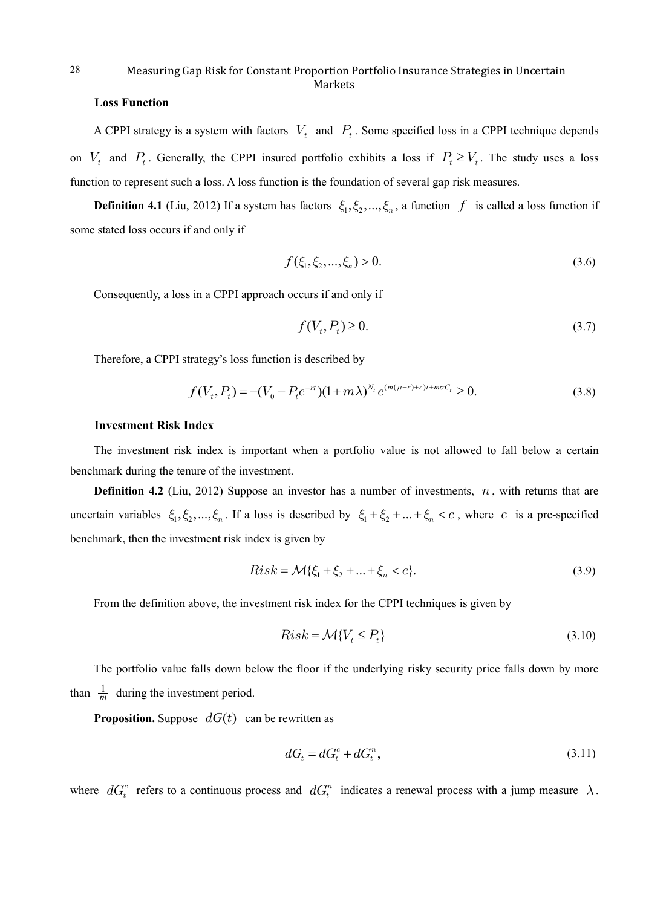## **Loss Function**

28

A CPPI strategy is a system with factors  $V_t$  and  $P_t$ . Some specified loss in a CPPI technique depends on  $V_t$  and  $P_t$ . Generally, the CPPI insured portfolio exhibits a loss if  $P_t \ge V_t$ . The study uses a loss function to represent such a loss. A loss function is the foundation of several gap risk measures.

**Definition 4.1** (Liu, 2012) If a system has factors  $\xi_1, \xi_2, ..., \xi_n$ , a function f is called a loss function if some stated loss occurs if and only if

$$
f(\xi_1, \xi_2, ..., \xi_n) > 0. \tag{3.6}
$$

Consequently, a loss in a CPPI approach occurs if and only if

$$
f(V_t, P_t) \ge 0. \tag{3.7}
$$

Therefore, a CPPI strategy's loss function is described by

$$
f(V_t, P_t) = -(V_0 - P_t e^{-rt})(1 + m\lambda)^{N_t} e^{(m(\mu - r) + r)t + m\sigma C_t} \ge 0.
$$
\n(3.8)

### **Investment Risk Index**

The investment risk index is important when a portfolio value is not allowed to fall below a certain benchmark during the tenure of the investment.

**Definition 4.2** (Liu, 2012) Suppose an investor has a number of investments,  $n$ , with returns that are uncertain variables  $\xi_1, \xi_2, ..., \xi_n$ . If a loss is described by  $\xi_1 + \xi_2 + ... + \xi_n < c$ , where c is a pre-specified benchmark, then the investment risk index is given by

$$
Risk = \mathcal{M}\{\xi_1 + \xi_2 + \dots + \xi_n < c\}.\tag{3.9}
$$

From the definition above, the investment risk index for the CPPI techniques is given by

$$
Risk = \mathcal{M}\{V_t \le P_t\} \tag{3.10}
$$

The portfolio value falls down below the floor if the underlying risky security price falls down by more than  $\frac{1}{m}$  during the investment period.

**Proposition.** Suppose  $dG(t)$  can be rewritten as

$$
dG_t = dG_t^c + dG_t^n, \qquad (3.11)
$$

where  $dG_t^c$  refers to a continuous process and  $dG_t^n$  indicates a renewal process with a jump measure  $\lambda$ .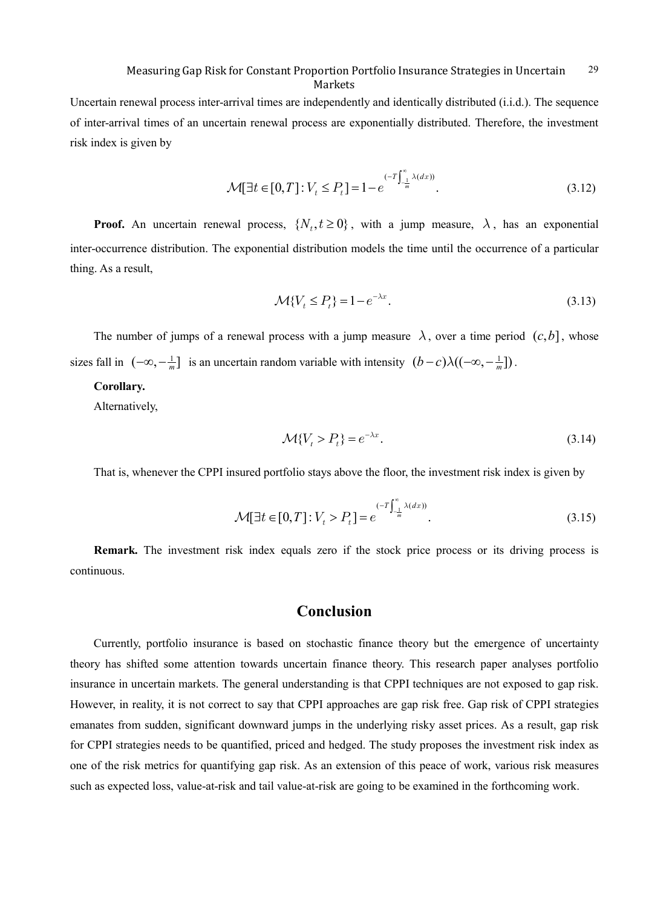Uncertain renewal process inter-arrival times are independently and identically distributed (i.i.d.). The sequence of inter-arrival times of an uncertain renewal process are exponentially distributed. Therefore, the investment risk index is given by

$$
\mathcal{M}[\exists t \in [0, T] : V_t \le P_t] = 1 - e^{(-T \int_{-\frac{1}{m}}^{\infty} \lambda(dx))}.
$$
\n(3.12)

**Proof.** An uncertain renewal process,  $\{N_t, t \ge 0\}$ , with a jump measure,  $\lambda$ , has an exponential inter-occurrence distribution. The exponential distribution models the time until the occurrence of a particular thing. As a result,

$$
\mathcal{M}\lbrace V_t \leq P_t \rbrace = 1 - e^{-\lambda x}.
$$
\n(3.13)

The number of jumps of a renewal process with a jump measure  $\lambda$ , over a time period  $(c, b]$ , whose sizes fall in  $(-\infty, -\frac{1}{m}]$  is an uncertain random variable with intensity  $(b - c)\lambda((-\infty, -\frac{1}{m}])$ .

## **Corollary.**

Alternatively,

$$
\mathcal{M}\lbrace V_t > P_t \rbrace = e^{-\lambda x}.\tag{3.14}
$$

That is, whenever the CPPI insured portfolio stays above the floor, the investment risk index is given by

$$
\mathcal{M}[\exists t \in [0, T] : V_t > P_t] = e^{(-T \int_{-\frac{1}{m}}^{\infty} \lambda(dx))}.
$$
\n(3.15)

**Remark.** The investment risk index equals zero if the stock price process or its driving process is continuous.

# **Conclusion**

Currently, portfolio insurance is based on stochastic finance theory but the emergence of uncertainty theory has shifted some attention towards uncertain finance theory. This research paper analyses portfolio insurance in uncertain markets. The general understanding is that CPPI techniques are not exposed to gap risk. However, in reality, it is not correct to say that CPPI approaches are gap risk free. Gap risk of CPPI strategies emanates from sudden, significant downward jumps in the underlying risky asset prices. As a result, gap risk for CPPI strategies needs to be quantified, priced and hedged. The study proposes the investment risk index as one of the risk metrics for quantifying gap risk. As an extension of this peace of work, various risk measures such as expected loss, value-at-risk and tail value-at-risk are going to be examined in the forthcoming work.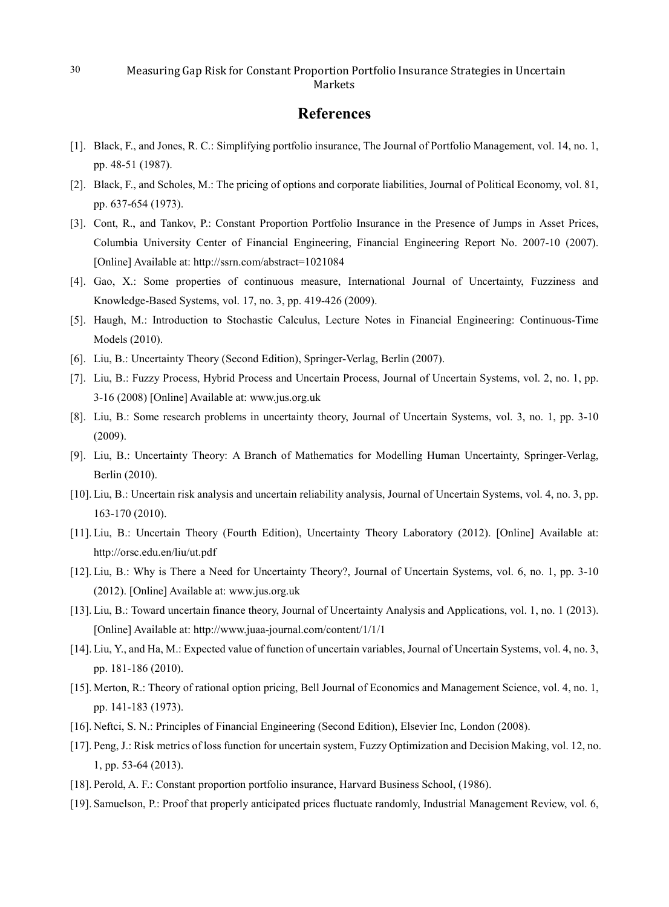# **References**

- [1]. Black, F., and Jones, R. C.: Simplifying portfolio insurance, The Journal of Portfolio Management, vol. 14, no. 1, pp. 48-51 (1987).
- [2]. Black, F., and Scholes, M.: The pricing of options and corporate liabilities, Journal of Political Economy, vol. 81, pp. 637-654 (1973).
- [3]. Cont, R., and Tankov, P.: Constant Proportion Portfolio Insurance in the Presence of Jumps in Asset Prices, Columbia University Center of Financial Engineering, Financial Engineering Report No. 2007-10 (2007). [Online] Available at: http://ssrn.com/abstract=1021084
- [4]. Gao, X.: Some properties of continuous measure, International Journal of Uncertainty, Fuzziness and Knowledge-Based Systems, vol. 17, no. 3, pp. 419-426 (2009).
- [5]. Haugh, M.: Introduction to Stochastic Calculus, Lecture Notes in Financial Engineering: Continuous-Time Models (2010).
- [6]. Liu, B.: Uncertainty Theory (Second Edition), Springer-Verlag, Berlin (2007).
- [7]. Liu, B.: Fuzzy Process, Hybrid Process and Uncertain Process, Journal of Uncertain Systems, vol. 2, no. 1, pp. 3-16 (2008) [Online] Available at: www.jus.org.uk
- [8]. Liu, B.: Some research problems in uncertainty theory, Journal of Uncertain Systems, vol. 3, no. 1, pp. 3-10 (2009).
- [9]. Liu, B.: Uncertainty Theory: A Branch of Mathematics for Modelling Human Uncertainty, Springer-Verlag, Berlin (2010).
- [10]. Liu, B.: Uncertain risk analysis and uncertain reliability analysis, Journal of Uncertain Systems, vol. 4, no. 3, pp. 163-170 (2010).
- [11]. Liu, B.: Uncertain Theory (Fourth Edition), Uncertainty Theory Laboratory (2012). [Online] Available at: http://orsc.edu.en/liu/ut.pdf
- [12]. Liu, B.: Why is There a Need for Uncertainty Theory?, Journal of Uncertain Systems, vol. 6, no. 1, pp. 3-10 (2012). [Online] Available at: www.jus.org.uk
- [13]. Liu, B.: Toward uncertain finance theory, Journal of Uncertainty Analysis and Applications, vol. 1, no. 1 (2013). [Online] Available at: http://www.juaa-journal.com/content/1/1/1
- [14]. Liu, Y., and Ha, M.: Expected value of function of uncertain variables, Journal of Uncertain Systems, vol. 4, no. 3, pp. 181-186 (2010).
- [15]. Merton, R.: Theory of rational option pricing, Bell Journal of Economics and Management Science, vol. 4, no. 1, pp. 141-183 (1973).
- [16]. Neftci, S. N.: Principles of Financial Engineering (Second Edition), Elsevier Inc, London (2008).
- [17]. Peng, J.: Risk metrics of loss function for uncertain system, Fuzzy Optimization and Decision Making, vol. 12, no. 1, pp. 53-64 (2013).
- [18]. Perold, A. F.: Constant proportion portfolio insurance, Harvard Business School, (1986).
- [19]. Samuelson, P.: Proof that properly anticipated prices fluctuate randomly, Industrial Management Review, vol. 6,